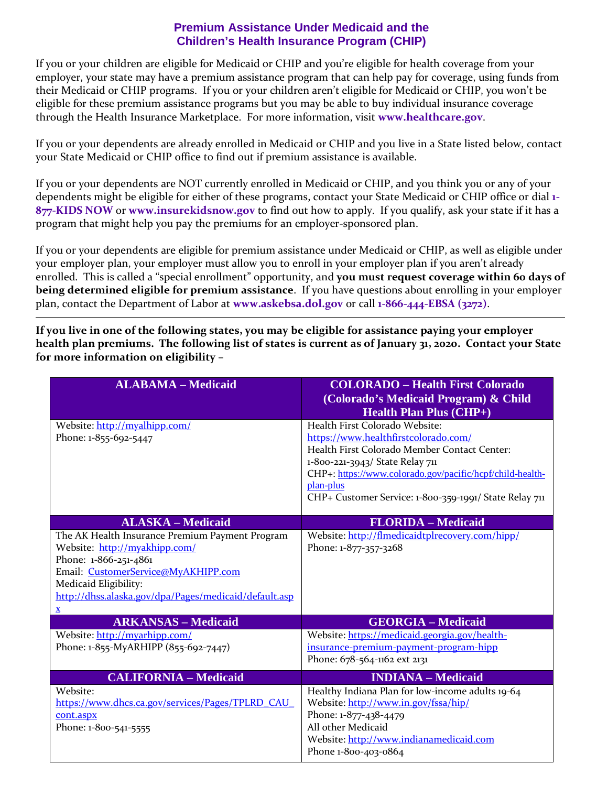## **Premium Assistance Under Medicaid and the Children's Health Insurance Program (CHIP)**

If you or your children are eligible for Medicaid or CHIP and you're eligible for health coverage from your employer, your state may have a premium assistance program that can help pay for coverage, using funds from their Medicaid or CHIP programs. If you or your children aren't eligible for Medicaid or CHIP, you won't be eligible for these premium assistance programs but you may be able to buy individual insurance coverage through the Health Insurance Marketplace. For more information, visit **[www.healthcare.gov](http://www.healthcare.gov/)**.

If you or your dependents are already enrolled in Medicaid or CHIP and you live in a State listed below, contact your State Medicaid or CHIP office to find out if premium assistance is available.

If you or your dependents are NOT currently enrolled in Medicaid or CHIP, and you think you or any of your dependents might be eligible for either of these programs, contact your State Medicaid or CHIP office or dial **1- 877-KIDS NOW** or **[www.insurekidsnow.gov](http://www.insurekidsnow.gov/)** to find out how to apply. If you qualify, ask your state if it has a program that might help you pay the premiums for an employer-sponsored plan.

If you or your dependents are eligible for premium assistance under Medicaid or CHIP, as well as eligible under your employer plan, your employer must allow you to enroll in your employer plan if you aren't already enrolled. This is called a "special enrollment" opportunity, and you must request coverage within 60 days of **being determined eligible for premium assistance**. If you have questions about enrolling in your employer plan, contact the Department of Labor at **[www.askebsa.dol.gov](http://www.askebsa.dol.gov/)** or call **1-866-444-EBSA (3272)**.

**If you live in one of the following states, you may be eligible for assistance paying your employer health plan premiums. The following list of states is current as of January 31, 2020. Contact your State for more information on eligibility –**

| <b>ALABAMA - Medicaid</b>                                    | <b>COLORADO - Health First Colorado</b><br>(Colorado's Medicaid Program) & Child<br><b>Health Plan Plus (CHP+)</b> |
|--------------------------------------------------------------|--------------------------------------------------------------------------------------------------------------------|
| Website: http://myalhipp.com/<br>Phone: 1-855-692-5447       | Health First Colorado Website:<br>https://www.healthfirstcolorado.com/                                             |
|                                                              | Health First Colorado Member Contact Center:                                                                       |
|                                                              | 1-800-221-3943/ State Relay 711<br>CHP+: https://www.colorado.gov/pacific/hcpf/child-health-                       |
|                                                              | plan-plus                                                                                                          |
|                                                              | CHP+ Customer Service: 1-800-359-1991/ State Relay 711                                                             |
| <b>ALASKA - Medicaid</b>                                     | <b>FLORIDA</b> - Medicaid                                                                                          |
| The AK Health Insurance Premium Payment Program              | Website: http://flmedicaidtplrecovery.com/hipp/                                                                    |
| Website: http://myakhipp.com/                                | Phone: 1-877-357-3268                                                                                              |
| Phone: 1-866-251-4861<br>Email: CustomerService@MyAKHIPP.com |                                                                                                                    |
| Medicaid Eligibility:                                        |                                                                                                                    |
| http://dhss.alaska.gov/dpa/Pages/medicaid/default.asp        |                                                                                                                    |
| $\mathbf{x}$                                                 |                                                                                                                    |
| <b>ARKANSAS - Medicaid</b>                                   | <b>GEORGIA - Medicaid</b>                                                                                          |
| Website: http://myarhipp.com/                                | Website: https://medicaid.georgia.gov/health-                                                                      |
| Phone: 1-855-MyARHIPP (855-692-7447)                         | insurance-premium-payment-program-hipp<br>Phone: 678-564-1162 ext 2131                                             |
|                                                              |                                                                                                                    |
| <b>CALIFORNIA - Medicaid</b>                                 | <b>INDIANA - Medicaid</b>                                                                                          |
| Website:                                                     | Healthy Indiana Plan for low-income adults 19-64                                                                   |
| https://www.dhcs.ca.gov/services/Pages/TPLRD CAU             | Website: http://www.in.gov/fssa/hip/                                                                               |
| cont.aspx<br>Phone: 1-800-541-5555                           | Phone: 1-877-438-4479<br>All other Medicaid                                                                        |
|                                                              | Website: http://www.indianamedicaid.com                                                                            |
|                                                              | Phone 1-800-403-0864                                                                                               |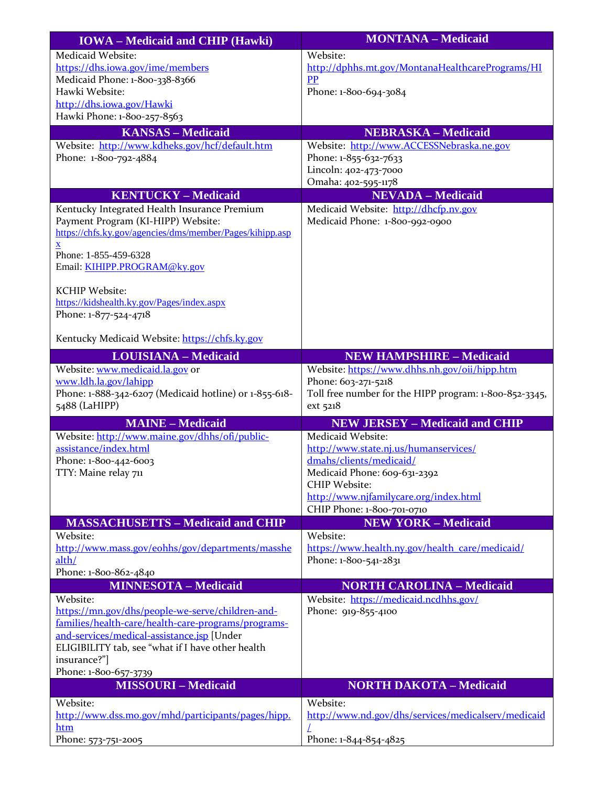| <b>IOWA</b> – Medicaid and CHIP (Hawki)                  | <b>MONTANA - Medicaid</b>                               |
|----------------------------------------------------------|---------------------------------------------------------|
| Medicaid Website:                                        | Website:                                                |
| https://dhs.iowa.gov/ime/members                         | http://dphhs.mt.gov/MontanaHealthcarePrograms/HI        |
| Medicaid Phone: 1-800-338-8366                           | <b>PP</b>                                               |
| Hawki Website:                                           | Phone: 1-800-694-3084                                   |
| http://dhs.iowa.gov/Hawki                                |                                                         |
| Hawki Phone: 1-800-257-8563                              |                                                         |
| <b>KANSAS - Medicaid</b>                                 | <b>NEBRASKA - Medicaid</b>                              |
| Website: http://www.kdheks.gov/hcf/default.htm           | Website: http://www.ACCESSNebraska.ne.gov               |
| Phone: 1-800-792-4884                                    | Phone: 1-855-632-7633<br>Lincoln: 402-473-7000          |
|                                                          | Omaha: 402-595-1178                                     |
| <b>KENTUCKY - Medicaid</b>                               | <b>NEVADA - Medicaid</b>                                |
| Kentucky Integrated Health Insurance Premium             | Medicaid Website: http://dhcfp.nv.gov                   |
| Payment Program (KI-HIPP) Website:                       | Medicaid Phone: 1-800-992-0900                          |
| https://chfs.ky.gov/agencies/dms/member/Pages/kihipp.asp |                                                         |
| $\underline{\mathbf{X}}$                                 |                                                         |
| Phone: 1-855-459-6328                                    |                                                         |
| Email: KIHIPP.PROGRAM@ky.gov                             |                                                         |
| <b>KCHIP Website:</b>                                    |                                                         |
| https://kidshealth.ky.gov/Pages/index.aspx               |                                                         |
| Phone: 1-877-524-4718                                    |                                                         |
|                                                          |                                                         |
| Kentucky Medicaid Website: https://chfs.ky.gov           |                                                         |
| <b>LOUISIANA - Medicaid</b>                              | <b>NEW HAMPSHIRE - Medicaid</b>                         |
| Website: www.medicaid.la.gov or                          | Website: https://www.dhhs.nh.gov/oii/hipp.htm           |
| www.ldh.la.gov/lahipp                                    | Phone: 603-271-5218                                     |
| Phone: 1-888-342-6207 (Medicaid hotline) or 1-855-618-   | Toll free number for the HIPP program: 1-800-852-3345,  |
| 5488 (LaHIPP)                                            | ext 5218                                                |
| <b>MAINE - Medicaid</b>                                  | <b>NEW JERSEY - Medicaid and CHIP</b>                   |
| Website: http://www.maine.gov/dhhs/ofi/public-           | Medicaid Website:                                       |
| assistance/index.html                                    | http://www.state.nj.us/humanservices/                   |
| Phone: 1-800-442-6003<br>TTY: Maine relay 711            | dmahs/clients/medicaid/<br>Medicaid Phone: 609-631-2392 |
|                                                          | <b>CHIP Website:</b>                                    |
|                                                          | http://www.njfamilycare.org/index.html                  |
|                                                          | CHIP Phone: 1-800-701-0710                              |
| <b>MASSACHUSETTS - Medicaid and CHIP</b>                 | <b>NEW YORK - Medicaid</b>                              |
| Website:                                                 | Website:                                                |
| http://www.mass.gov/eohhs/gov/departments/masshe         | https://www.health.ny.gov/health_care/medicaid/         |
| alth/                                                    | Phone: 1-800-541-2831                                   |
| Phone: 1-800-862-4840<br><b>MINNESOTA - Medicaid</b>     | <b>NORTH CAROLINA - Medicaid</b>                        |
| Website:                                                 | Website: https://medicaid.ncdhhs.gov/                   |
| https://mn.gov/dhs/people-we-serve/children-and-         | Phone: 919-855-4100                                     |
| families/health-care/health-care-programs/programs-      |                                                         |
| and-services/medical-assistance.jsp [Under               |                                                         |
| ELIGIBILITY tab, see "what if I have other health        |                                                         |
| insurance?"]                                             |                                                         |
| Phone: 1-800-657-3739                                    |                                                         |
| <b>MISSOURI - Medicaid</b>                               | <b>NORTH DAKOTA - Medicaid</b>                          |
| Website:                                                 | Website:                                                |
| http://www.dss.mo.gov/mhd/participants/pages/hipp.       | http://www.nd.gov/dhs/services/medicalserv/medicaid     |
| htm                                                      |                                                         |
| Phone: 573-751-2005                                      | Phone: 1-844-854-4825                                   |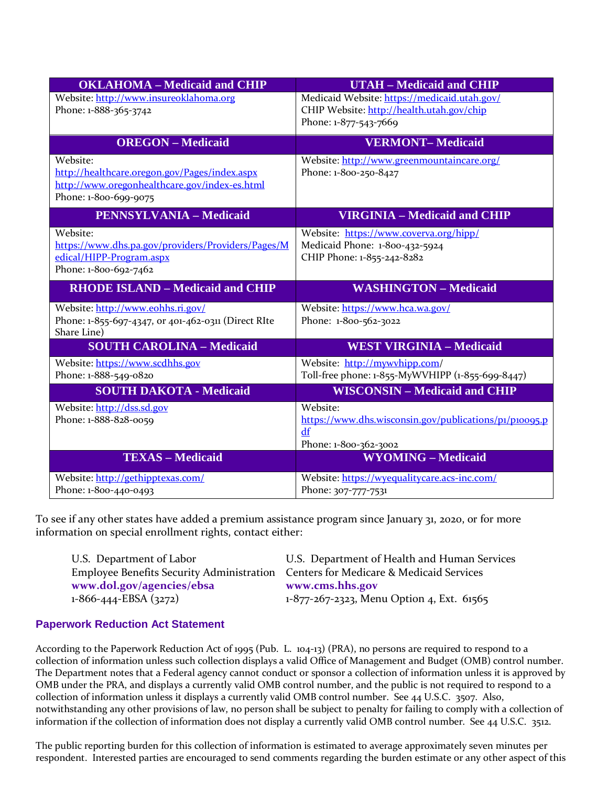| <b>OKLAHOMA - Medicaid and CHIP</b>                                | <b>UTAH - Medicaid and CHIP</b>                        |
|--------------------------------------------------------------------|--------------------------------------------------------|
| Website: http://www.insureoklahoma.org                             | Medicaid Website: https://medicaid.utah.gov/           |
| Phone: 1-888-365-3742                                              | CHIP Website: http://health.utah.gov/chip              |
|                                                                    | Phone: 1-877-543-7669                                  |
| <b>OREGON</b> – Medicaid                                           | <b>VERMONT-Medicaid</b>                                |
| Website:                                                           | Website: http://www.greenmountaincare.org/             |
| http://healthcare.oregon.gov/Pages/index.aspx                      | Phone: 1-800-250-8427                                  |
| http://www.oregonhealthcare.gov/index-es.html                      |                                                        |
| Phone: 1-800-699-9075                                              |                                                        |
| <b>PENNSYLVANIA - Medicaid</b>                                     | <b>VIRGINIA - Medicaid and CHIP</b>                    |
| Website:                                                           | Website: https://www.coverva.org/hipp/                 |
| https://www.dhs.pa.gov/providers/Providers/Pages/M                 | Medicaid Phone: 1-800-432-5924                         |
| edical/HIPP-Program.aspx                                           | CHIP Phone: 1-855-242-8282                             |
| Phone: 1-800-692-7462                                              |                                                        |
| <b>RHODE ISLAND - Medicaid and CHIP</b>                            | <b>WASHINGTON - Medicaid</b>                           |
| Website: http://www.eohhs.ri.gov/                                  | Website: https://www.hca.wa.gov/                       |
| Phone: 1-855-697-4347, or 401-462-0311 (Direct RIte<br>Share Line) | Phone: 1-800-562-3022                                  |
| <b>SOUTH CAROLINA - Medicaid</b>                                   | <b>WEST VIRGINIA - Medicaid</b>                        |
| Website: https://www.scdhhs.gov                                    | Website: http://mywyhipp.com/                          |
| Phone: 1-888-549-0820                                              | Toll-free phone: 1-855-MyWVHIPP (1-855-699-8447)       |
| <b>SOUTH DAKOTA - Medicaid</b>                                     | <b>WISCONSIN - Medicaid and CHIP</b>                   |
| Website: http://dss.sd.gov                                         | Website:                                               |
| Phone: 1-888-828-0059                                              | https://www.dhs.wisconsin.gov/publications/p1/p10095.p |
|                                                                    | df<br>Phone: 1-800-362-3002                            |
| <b>TEXAS - Medicaid</b>                                            | <b>WYOMING - Medicaid</b>                              |
| Website: http://gethipptexas.com/                                  | Website: https://wyequalitycare.acs-inc.com/           |
| Phone: 1-800-440-0493                                              | Phone: 307-777-7531                                    |

To see if any other states have added a premium assistance program since January 31, 2020, or for more information on special enrollment rights, contact either:

| U.S. Department of Health and Human Services                                       |
|------------------------------------------------------------------------------------|
| Employee Benefits Security Administration Centers for Medicare & Medicaid Services |
| www.cms.hhs.gov                                                                    |
| 1-877-267-2323, Menu Option 4, Ext. 61565                                          |
|                                                                                    |

## **Paperwork Reduction Act Statement**

According to the Paperwork Reduction Act of 1995 (Pub. L. 104-13) (PRA), no persons are required to respond to a collection of information unless such collection displays a valid Office of Management and Budget (OMB) control number. The Department notes that a Federal agency cannot conduct or sponsor a collection of information unless it is approved by OMB under the PRA, and displays a currently valid OMB control number, and the public is not required to respond to a collection of information unless it displays a currently valid OMB control number. See 44 U.S.C. 3507. Also, notwithstanding any other provisions of law, no person shall be subject to penalty for failing to comply with a collection of information if the collection of information does not display a currently valid OMB control number. See 44 U.S.C. 3512.

The public reporting burden for this collection of information is estimated to average approximately seven minutes per respondent. Interested parties are encouraged to send comments regarding the burden estimate or any other aspect of this